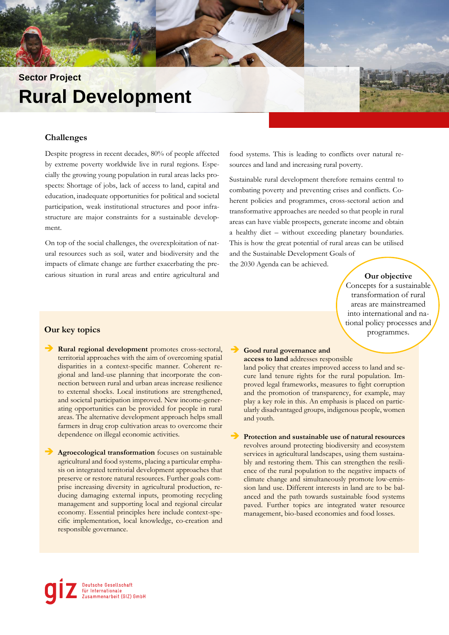# **Sector Project Rural Development**

### **Challenges**

Despite progress in recent decades, 80% of people affected by extreme poverty worldwide live in rural regions. Especially the growing young population in rural areas lacks prospects: Shortage of jobs, lack of access to land, capital and education, inadequate opportunities for political and societal participation, weak institutional structures and poor infrastructure are major constraints for a sustainable development.

On top of the social challenges, the overexploitation of natural resources such as soil, water and biodiversity and the impacts of climate change are further exacerbating the precarious situation in rural areas and entire agricultural and food systems. This is leading to conflicts over natural resources and land and increasing rural poverty.

Sustainable rural development therefore remains central to combating poverty and preventing crises and conflicts. Coherent policies and programmes, cross-sectoral action and transformative approaches are needed so that people in rural areas can have viable prospects, generate income and obtain a healthy diet – without exceeding planetary boundaries. This is how the great potential of rural areas can be utilised and the Sustainable Development Goals of

the 2030 Agenda can be achieved.

#### **Our objective**

Concepts for a sustainable transformation of rural areas are mainstreamed into international and national policy processes and programmes.

#### **Our key topics**

➔ **Rural regional development** promotes cross-sectoral, territorial approaches with the aim of overcoming spatial disparities in a context-specific manner. Coherent regional and land-use planning that incorporate the connection between rural and urban areas increase resilience to external shocks. Local institutions are strengthened, and societal participation improved. New income-generating opportunities can be provided for people in rural areas. The alternative development approach helps small farmers in drug crop cultivation areas to overcome their dependence on illegal economic activities.

➔ **Agroecological transformation** focuses on sustainable agricultural and food systems, placing a particular emphasis on integrated territorial development approaches that preserve or restore natural resources. Further goals comprise increasing diversity in agricultural production, reducing damaging external inputs, promoting recycling management and supporting local and regional circular economy. Essential principles here include context-specific implementation, local knowledge, co-creation and responsible governance.

#### ➔ **Good rural governance and access to land** addresses responsible

land policy that creates improved access to land and secure land tenure rights for the rural population. Improved legal frameworks, measures to fight corruption and the promotion of transparency, for example, may play a key role in this. An emphasis is placed on particularly disadvantaged groups, indigenous people, women and youth.

#### ➔ **Protection and sustainable use of natural resources**

revolves around protecting biodiversity and ecosystem services in agricultural landscapes, using them sustainably and restoring them. This can strengthen the resilience of the rural population to the negative impacts of climate change and simultaneously promote low-emission land use. Different interests in land are to be balanced and the path towards sustainable food systems paved. Further topics are integrated water resource management, bio-based economies and food losses.